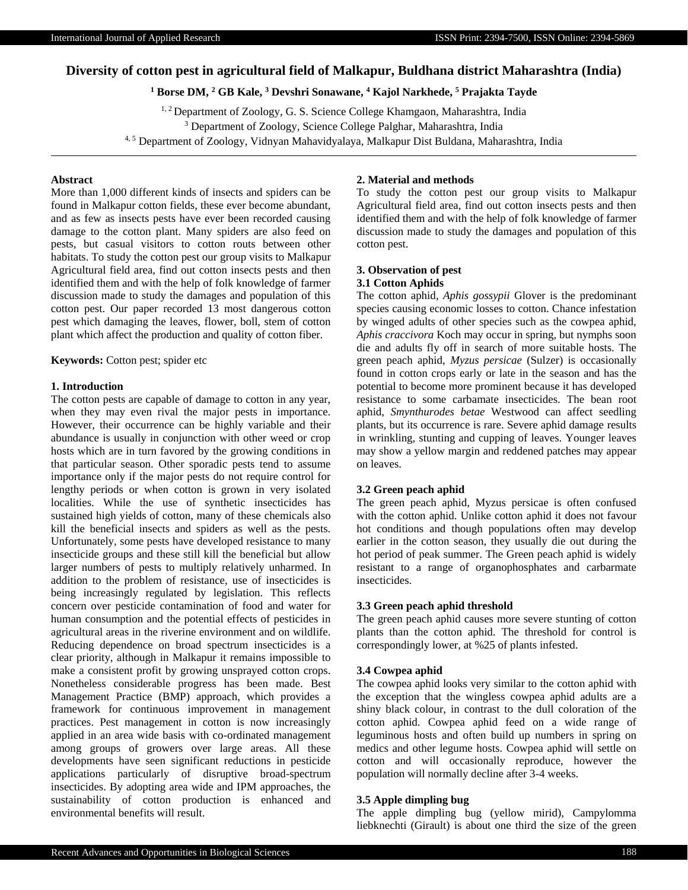# **Diversity of cotton pest in agricultural field of Malkapur, Buldhana district Maharashtra (India)**

# **<sup>1</sup> Borse DM, <sup>2</sup> GB Kale, <sup>3</sup> Devshri Sonawane, <sup>4</sup> Kajol Narkhede, <sup>5</sup> Prajakta Tayde**

<sup>1, 2</sup> Department of Zoology, G. S. Science College Khamgaon, Maharashtra, India

<sup>3</sup> Department of Zoology, Science College Palghar, Maharashtra, India

4, 5 Department of Zoology, Vidnyan Mahavidyalaya, Malkapur Dist Buldana, Maharashtra, India

# **Abstract**

More than 1,000 different kinds of insects and spiders can be found in Malkapur cotton fields, these ever become abundant, and as few as insects pests have ever been recorded causing damage to the cotton plant. Many spiders are also feed on pests, but casual visitors to cotton routs between other habitats. To study the cotton pest our group visits to Malkapur Agricultural field area, find out cotton insects pests and then identified them and with the help of folk knowledge of farmer discussion made to study the damages and population of this cotton pest. Our paper recorded 13 most dangerous cotton pest which damaging the leaves, flower, boll, stem of cotton plant which affect the production and quality of cotton fiber.

**Keywords:** Cotton pest; spider etc

## **1. Introduction**

The cotton pests are capable of damage to cotton in any year, when they may even rival the major pests in importance. However, their occurrence can be highly variable and their abundance is usually in conjunction with other weed or crop hosts which are in turn favored by the growing conditions in that particular season. Other sporadic pests tend to assume importance only if the major pests do not require control for lengthy periods or when cotton is grown in very isolated localities. While the use of synthetic insecticides has sustained high yields of cotton, many of these chemicals also kill the beneficial insects and spiders as well as the pests. Unfortunately, some pests have developed resistance to many insecticide groups and these still kill the beneficial but allow larger numbers of pests to multiply relatively unharmed. In addition to the problem of resistance, use of insecticides is being increasingly regulated by legislation. This reflects concern over pesticide contamination of food and water for human consumption and the potential effects of pesticides in agricultural areas in the riverine environment and on wildlife. Reducing dependence on broad spectrum insecticides is a clear priority, although in Malkapur it remains impossible to make a consistent profit by growing unsprayed cotton crops. Nonetheless considerable progress has been made. Best Management Practice (BMP) approach, which provides a framework for continuous improvement in management practices. Pest management in cotton is now increasingly applied in an area wide basis with co-ordinated management among groups of growers over large areas. All these developments have seen significant reductions in pesticide applications particularly of disruptive broad-spectrum insecticides. By adopting area wide and IPM approaches, the sustainability of cotton production is enhanced and environmental benefits will result.

# **2. Material and methods**

To study the cotton pest our group visits to Malkapur Agricultural field area, find out cotton insects pests and then identified them and with the help of folk knowledge of farmer discussion made to study the damages and population of this cotton pest.

#### **3. Observation of pest 3.1 Cotton Aphids**

The cotton aphid, *Aphis gossypii* Glover is the predominant species causing economic losses to cotton. Chance infestation by winged adults of other species such as the cowpea aphid, *Aphis craccivora* Koch may occur in spring, but nymphs soon die and adults fly off in search of more suitable hosts. The green peach aphid, *Myzus persicae* (Sulzer) is occasionally found in cotton crops early or late in the season and has the potential to become more prominent because it has developed resistance to some carbamate insecticides. The bean root aphid, *Smynthurodes betae* Westwood can affect seedling plants, but its occurrence is rare. Severe aphid damage results in wrinkling, stunting and cupping of leaves. Younger leaves may show a yellow margin and reddened patches may appear on leaves.

#### **3.2 Green peach aphid**

The green peach aphid, Myzus persicae is often confused with the cotton aphid. Unlike cotton aphid it does not favour hot conditions and though populations often may develop earlier in the cotton season, they usually die out during the hot period of peak summer. The Green peach aphid is widely resistant to a range of organophosphates and carbarmate insecticides.

# **3.3 Green peach aphid threshold**

The green peach aphid causes more severe stunting of cotton plants than the cotton aphid. The threshold for control is correspondingly lower, at %25 of plants infested.

## **3.4 Cowpea aphid**

The cowpea aphid looks very similar to the cotton aphid with the exception that the wingless cowpea aphid adults are a shiny black colour, in contrast to the dull coloration of the cotton aphid. Cowpea aphid feed on a wide range of leguminous hosts and often build up numbers in spring on medics and other legume hosts. Cowpea aphid will settle on cotton and will occasionally reproduce, however the population will normally decline after 3-4 weeks.

## **3.5 Apple dimpling bug**

The apple dimpling bug (yellow mirid), Campylomma liebknechti (Girault) is about one third the size of the green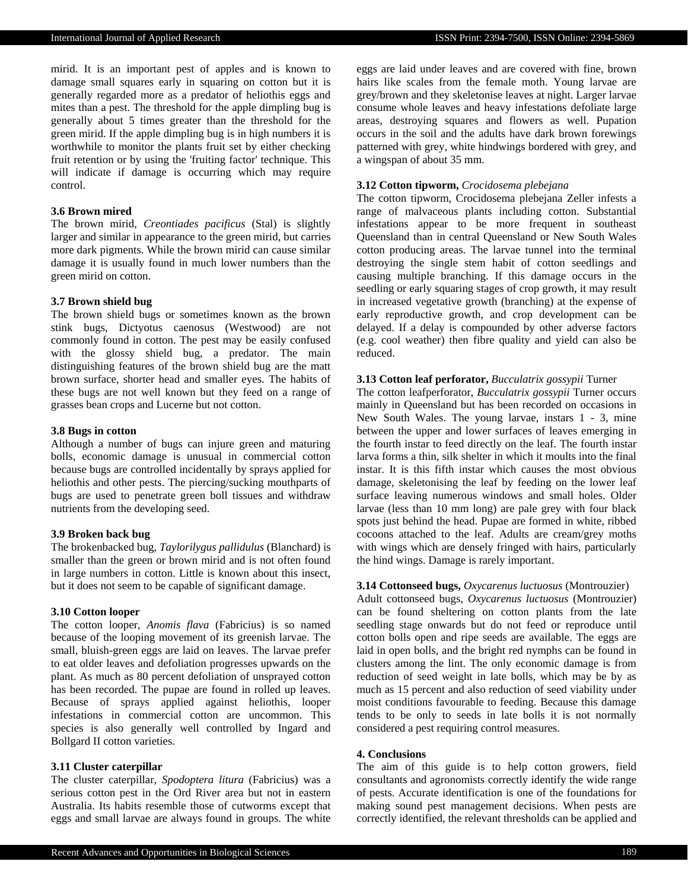mirid. It is an important pest of apples and is known to damage small squares early in squaring on cotton but it is generally regarded more as a predator of heliothis eggs and mites than a pest. The threshold for the apple dimpling bug is generally about 5 times greater than the threshold for the green mirid. If the apple dimpling bug is in high numbers it is worthwhile to monitor the plants fruit set by either checking fruit retention or by using the 'fruiting factor' technique. This will indicate if damage is occurring which may require control.

# **3.6 Brown mired**

The brown mirid, *Creontiades pacificus* (Stal) is slightly larger and similar in appearance to the green mirid, but carries more dark pigments. While the brown mirid can cause similar damage it is usually found in much lower numbers than the green mirid on cotton.

## **3.7 Brown shield bug**

The brown shield bugs or sometimes known as the brown stink bugs, Dictyotus caenosus (Westwood) are not commonly found in cotton. The pest may be easily confused with the glossy shield bug, a predator. The main distinguishing features of the brown shield bug are the matt brown surface, shorter head and smaller eyes. The habits of these bugs are not well known but they feed on a range of grasses bean crops and Lucerne but not cotton.

#### **3.8 Bugs in cotton**

Although a number of bugs can injure green and maturing bolls, economic damage is unusual in commercial cotton because bugs are controlled incidentally by sprays applied for heliothis and other pests. The piercing/sucking mouthparts of bugs are used to penetrate green boll tissues and withdraw nutrients from the developing seed.

## **3.9 Broken back bug**

The brokenbacked bug, *Taylorilygus pallidulus* (Blanchard) is smaller than the green or brown mirid and is not often found in large numbers in cotton. Little is known about this insect, but it does not seem to be capable of significant damage.

## **3.10 Cotton looper**

The cotton looper, *Anomis flava* (Fabricius) is so named because of the looping movement of its greenish larvae. The small, bluish-green eggs are laid on leaves. The larvae prefer to eat older leaves and defoliation progresses upwards on the plant. As much as 80 percent defoliation of unsprayed cotton has been recorded. The pupae are found in rolled up leaves. Because of sprays applied against heliothis, looper infestations in commercial cotton are uncommon. This species is also generally well controlled by Ingard and Bollgard II cotton varieties.

#### **3.11 Cluster caterpillar**

The cluster caterpillar, *Spodoptera litura* (Fabricius) was a serious cotton pest in the Ord River area but not in eastern Australia. Its habits resemble those of cutworms except that eggs and small larvae are always found in groups. The white eggs are laid under leaves and are covered with fine, brown hairs like scales from the female moth. Young larvae are grey/brown and they skeletonise leaves at night. Larger larvae consume whole leaves and heavy infestations defoliate large areas, destroying squares and flowers as well. Pupation occurs in the soil and the adults have dark brown forewings patterned with grey, white hindwings bordered with grey, and a wingspan of about 35 mm.

# **3.12 Cotton tipworm,** *Crocidosema plebejana*

The cotton tipworm, Crocidosema plebejana Zeller infests a range of malvaceous plants including cotton. Substantial infestations appear to be more frequent in southeast Queensland than in central Queensland or New South Wales cotton producing areas. The larvae tunnel into the terminal destroying the single stem habit of cotton seedlings and causing multiple branching. If this damage occurs in the seedling or early squaring stages of crop growth, it may result in increased vegetative growth (branching) at the expense of early reproductive growth, and crop development can be delayed. If a delay is compounded by other adverse factors (e.g. cool weather) then fibre quality and yield can also be reduced.

## **3.13 Cotton leaf perforator,** *Bucculatrix gossypii* Turner

The cotton leafperforator, *Bucculatrix gossypii* Turner occurs mainly in Queensland but has been recorded on occasions in New South Wales. The young larvae, instars 1 - 3, mine between the upper and lower surfaces of leaves emerging in the fourth instar to feed directly on the leaf. The fourth instar larva forms a thin, silk shelter in which it moults into the final instar. It is this fifth instar which causes the most obvious damage, skeletonising the leaf by feeding on the lower leaf surface leaving numerous windows and small holes. Older larvae (less than 10 mm long) are pale grey with four black spots just behind the head. Pupae are formed in white, ribbed cocoons attached to the leaf. Adults are cream/grey moths with wings which are densely fringed with hairs, particularly the hind wings. Damage is rarely important.

# **3.14 Cottonseed bugs,** *Oxycarenus luctuosus* (Montrouzier)

Adult cottonseed bugs, *Oxycarenus luctuosus* (Montrouzier) can be found sheltering on cotton plants from the late seedling stage onwards but do not feed or reproduce until cotton bolls open and ripe seeds are available. The eggs are laid in open bolls, and the bright red nymphs can be found in clusters among the lint. The only economic damage is from reduction of seed weight in late bolls, which may be by as much as 15 percent and also reduction of seed viability under moist conditions favourable to feeding. Because this damage tends to be only to seeds in late bolls it is not normally considered a pest requiring control measures.

# **4. Conclusions**

The aim of this guide is to help cotton growers, field consultants and agronomists correctly identify the wide range of pests. Accurate identification is one of the foundations for making sound pest management decisions. When pests are correctly identified, the relevant thresholds can be applied and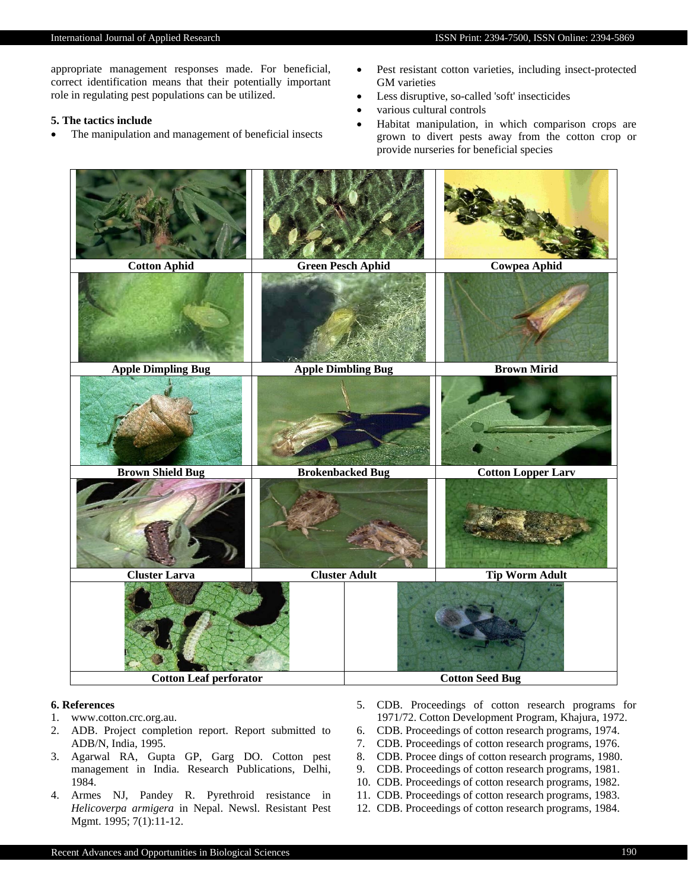appropriate management responses made. For beneficial, correct identification means that their potentially important role in regulating pest populations can be utilized.

# **5. The tactics include**

- The manipulation and management of beneficial insects
- Pest resistant cotton varieties, including insect-protected GM varieties
- Less disruptive, so-called 'soft' insecticides
- various cultural controls
- Habitat manipulation, in which comparison crops are grown to divert pests away from the cotton crop or provide nurseries for beneficial species



## **6. References**

- 1. www.cotton.crc.org.au.
- 2. ADB. Project completion report. Report submitted to ADB/N, India, 1995.
- 3. Agarwal RA, Gupta GP, Garg DO. Cotton pest management in India. Research Publications, Delhi, 1984.
- 4. Armes NJ, Pandey R. Pyrethroid resistance in *Helicoverpa armigera* in Nepal. Newsl. Resistant Pest Mgmt. 1995; 7(1):11-12.
- 5. CDB. Proceedings of cotton research programs for 1971/72. Cotton Development Program, Khajura, 1972.
- 6. CDB. Proceedings of cotton research programs, 1974.
- 7. CDB. Proceedings of cotton research programs, 1976.
- 8. CDB. Procee dings of cotton research programs, 1980.
- 9. CDB. Proceedings of cotton research programs, 1981.
- 10. CDB. Proceedings of cotton research programs, 1982.
- 11. CDB. Proceedings of cotton research programs, 1983.
- 12. CDB. Proceedings of cotton research programs, 1984.